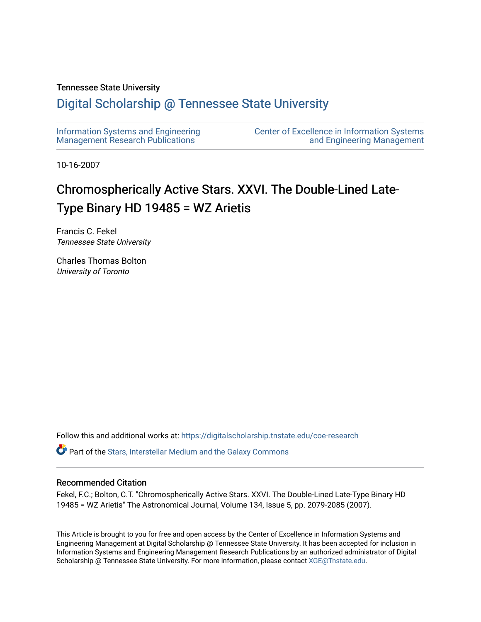# Tennessee State University

# [Digital Scholarship @ Tennessee State University](https://digitalscholarship.tnstate.edu/)

| Information Systems and Engineering     | <b>Center of Excellence in Information Systems</b> |
|-----------------------------------------|----------------------------------------------------|
| <b>Management Research Publications</b> | and Engineering Management                         |

10-16-2007

# Chromospherically Active Stars. XXVI. The Double-Lined Late-Type Binary HD 19485 = WZ Arietis

Francis C. Fekel Tennessee State University

Charles Thomas Bolton University of Toronto

Follow this and additional works at: [https://digitalscholarship.tnstate.edu/coe-research](https://digitalscholarship.tnstate.edu/coe-research?utm_source=digitalscholarship.tnstate.edu%2Fcoe-research%2F345&utm_medium=PDF&utm_campaign=PDFCoverPages) 

**P** Part of the Stars, Interstellar Medium and the Galaxy Commons

## Recommended Citation

Fekel, F.C.; Bolton, C.T. "Chromospherically Active Stars. XXVI. The Double-Lined Late-Type Binary HD 19485 = WZ Arietis" The Astronomical Journal, Volume 134, Issue 5, pp. 2079-2085 (2007).

This Article is brought to you for free and open access by the Center of Excellence in Information Systems and Engineering Management at Digital Scholarship @ Tennessee State University. It has been accepted for inclusion in Information Systems and Engineering Management Research Publications by an authorized administrator of Digital Scholarship @ Tennessee State University. For more information, please contact [XGE@Tnstate.edu](mailto:XGE@Tnstate.edu).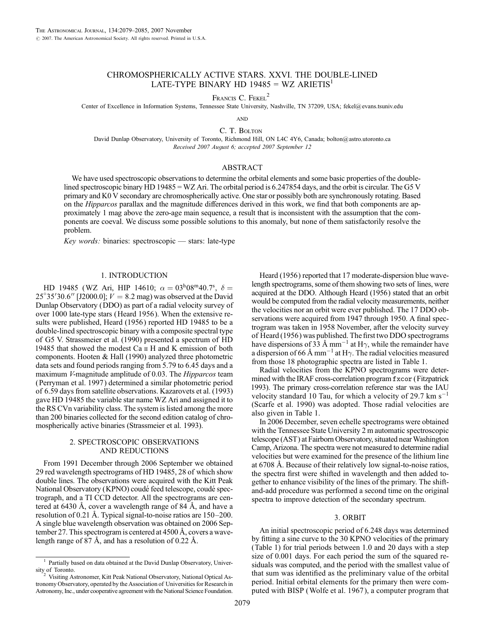## CHROMOSPHERICALLY ACTIVE STARS. XXVI. THE DOUBLE-LINED LATE-TYPE BINARY HD  $19485 = WZ$  ARIETIS<sup>1</sup>

FRANCIS C. FEKEL<sup>2</sup>

Center of Excellence in Information Systems, Tennessee State University, Nashville, TN 37209, USA; fekel@evans.tsuniv.edu

**AND** 

C. T. BOLTON

David Dunlap Observatory, University of Toronto, Richmond Hill, ON L4C 4Y6, Canada; bolton@astro.utoronto.ca Received 2007 August 6; accepted 2007 September 12

#### ABSTRACT

We have used spectroscopic observations to determine the orbital elements and some basic properties of the doublelined spectroscopic binary HD 19485 = WZ Ari. The orbital period is 6.247854 days, and the orbit is circular. The G5 V primary and K0 V secondary are chromospherically active. One star or possibly both are synchronously rotating. Based on the *Hipparcos* parallax and the magnitude differences derived in this work, we find that both components are approximately 1 mag above the zero-age main sequence, a result that is inconsistent with the assumption that the components are coeval. We discuss some possible solutions to this anomaly, but none of them satisfactorily resolve the problem.

Key words: binaries: spectroscopic — stars: late-type

#### 1. INTRODUCTION

HD 19485 (WZ Ari, HIP 14610;  $\alpha = 03^{\text{h}}08^{\text{m}}40.7^{\text{s}}$ ,  $\delta =$ 25°35′30.6″ [J2000.0];  $V = 8.2$  mag) was observed at the David Dunlap Observatory (DDO) as part of a radial velocity survey of over 1000 late-type stars (Heard 1956 ). When the extensive results were published, Heard (1956) reported HD 19485 to be a double-lined spectroscopic binary with a composite spectral type of G5 V. Strassmeier et al. (1990) presented a spectrum of HD 19485 that showed the modest Ca ii H and K emission of both components. Hooten & Hall (1990) analyzed three photometric data sets and found periods ranging from 5.79 to 6.45 days and a maximum *V*-magnitude amplitude of 0.03. The *Hipparcos* team (Perryman et al. 1997) determined a similar photometric period of 6.59 days from satellite observations. Kazarovets et al. (1993) gave HD 19485 the variable star name WZ Ari and assigned it to the RS CVn variability class. The system is listed among the more than 200 binaries collected for the second edition catalog of chromospherically active binaries (Strassmeier et al. 1993).

#### 2. SPECTROSCOPIC OBSERVATIONS AND REDUCTIONS

From 1991 December through 2006 September we obtained 29 red wavelength spectrograms of HD 19485, 28 of which show double lines. The observations were acquired with the Kitt Peak National Observatory (KPNO) coudé feed telescope, coudé spectrograph, and a TI CCD detector. All the spectrograms are centered at 6430 Å, cover a wavelength range of 84 Å, and have a resolution of 0.21 Å. Typical signal-to-noise ratios are  $150-200$ . A single blue wavelength observation was obtained on 2006 September 27. This spectrogram is centered at  $4500 \text{ Å}$ , covers a wavelength range of 87  $\AA$ , and has a resolution of 0.22  $\AA$ .

Heard (1956) reported that 17 moderate-dispersion blue wavelength spectrograms, some of them showing two sets of lines, were acquired at the DDO. Although Heard (1956) stated that an orbit would be computed from the radial velocity measurements, neither the velocities nor an orbit were ever published. The 17 DDO observations were acquired from 1947 through 1950. A final spectrogram was taken in 1958 November, after the velocity survey of Heard (1956) was published. The first two DDO spectrograms have dispersions of 33 Å mm<sup>-1</sup> at H $\gamma$ , while the remainder have a dispersion of 66 Å mm<sup>-1</sup> at H $\gamma$ . The radial velocities measured from those 18 photographic spectra are listed in Table 1.

Radial velocities from the KPNO spectrograms were determined with the IRAF cross-correlation program fxcor (Fitzpatrick 1993). The primary cross-correlation reference star was the IAU velocity standard 10 Tau, for which a velocity of 29.7  $\rm km~s^{-1}$ (Scarfe et al. 1990) was adopted. Those radial velocities are also given in Table 1.

In 2006 December, seven echelle spectrograms were obtained with the Tennessee State University 2 m automatic spectroscopic telescope (AST) at Fairborn Observatory, situated near Washington Camp, Arizona. The spectra were not measured to determine radial velocities but were examined for the presence of the lithium line at 6708 Å. Because of their relatively low signal-to-noise ratios, the spectra first were shifted in wavelength and then added together to enhance visibility of the lines of the primary. The shiftand-add procedure was performed a second time on the original spectra to improve detection of the secondary spectrum.

#### 3. ORBIT

An initial spectroscopic period of 6.248 days was determined by fitting a sine curve to the 30 KPNO velocities of the primary (Table 1) for trial periods between 1.0 and 20 days with a step size of 0.001 days. For each period the sum of the squared residuals was computed, and the period with the smallest value of that sum was identified as the preliminary value of the orbital period. Initial orbital elements for the primary then were computed with BISP (Wolfe et al. 1967 ), a computer program that

<sup>1</sup> Partially based on data obtained at the David Dunlap Observatory, Univer-

Visiting Astronomer, Kitt Peak National Observatory, National Optical Astronomy Observatory, operated by the Association of Universities for Research in Astronomy, Inc., under cooperative agreement with the National Science Foundation.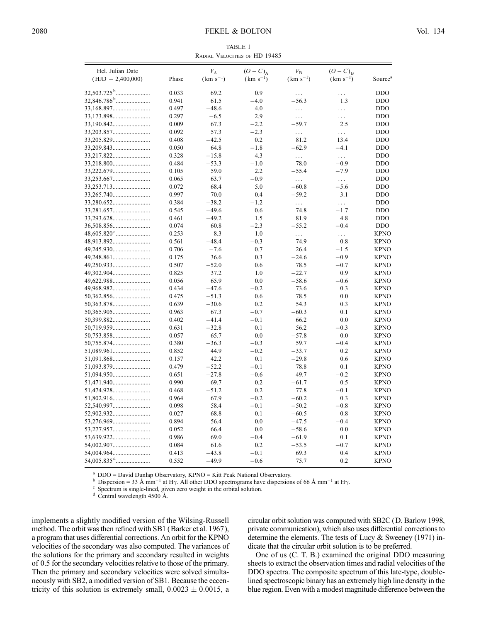TABLE 1 Radial Velocities of HD 19485

| Hel. Julian Date<br>$(HJD - 2,400,000)$ | Phase          | $V_{\rm A}$<br>$(km s^{-1})$ | $(O-C)_{A}$<br>$(km s^{-1})$ | $V_{\rm B}$<br>$(km s^{-1})$ | $(O-C)_B$<br>$(km s^{-1})$ | Source <sup>a</sup>        |
|-----------------------------------------|----------------|------------------------------|------------------------------|------------------------------|----------------------------|----------------------------|
|                                         | 0.033          | 69.2                         | 0.9                          | $\cdots$                     | $\cdots$                   | <b>DDO</b>                 |
|                                         | 0.941          | 61.5                         | $-4.0$                       | $-56.3$                      | 1.3                        | <b>DDO</b>                 |
|                                         | 0.497          | $-48.6$                      | 4.0                          | $\cdots$                     | .                          | <b>DDO</b>                 |
|                                         | 0.297          | $-6.5$                       | 2.9                          | $\cdots$                     | $\cdots$                   | <b>DDO</b>                 |
| 33,190.842                              | 0.009          | 67.3                         | $-2.2$                       | $-59.7$                      | 2.5                        | <b>DDO</b>                 |
| 33,203.857                              | 0.092          | 57.3                         | $-2.3$                       | $\ldots$                     | $\cdots$                   | <b>DDO</b>                 |
|                                         | 0.408          | $-42.5$                      | 0.2                          | 81.2                         | 13.4                       | <b>DDO</b>                 |
|                                         | 0.050          | 64.8                         | $-1.8$                       | $-62.9$                      | $-4.1$                     | <b>DDO</b>                 |
|                                         | 0.328          | $-15.8$                      | 4.3                          | $\cdots$                     | $\ldots$                   | <b>DDO</b>                 |
| 33,218.800                              | 0.484          | $-53.3$                      | $-1.0$                       | 78.0                         | $-0.9$                     | <b>DDO</b>                 |
| 33,222.679                              | 0.105          | 59.0                         | 2.2                          | $-55.4$                      | $-7.9$                     | <b>DDO</b>                 |
|                                         | 0.065          | 63.7                         | $-0.9$                       | $\cdots$                     | $\cdots$                   | <b>DDO</b>                 |
| 33,253.713                              | 0.072          | 68.4                         | 5.0                          | $-60.8$                      | $-5.6$                     | <b>DDO</b>                 |
| 33,265.740                              | 0.997          | 70.0                         | 0.4                          | $-59.2$                      | 3.1                        | <b>DDO</b>                 |
| 33,280.652                              | 0.384          | $-38.2$                      | $-1.2$                       | .                            | $\cdots$                   | <b>DDO</b>                 |
|                                         | 0.545          | $-49.6$                      | 0.6                          | 74.8                         | $-1.7$                     | <b>DDO</b>                 |
|                                         | 0.461          | $-49.2$                      | 1.5                          | 81.9                         | 4.8                        | <b>DDO</b>                 |
|                                         | 0.074          | 60.8                         | $-2.3$                       | $-55.2$                      | $-0.4$                     | <b>DDO</b>                 |
|                                         | 0.253          | 8.3                          | 1.0                          | .                            | $\cdots$                   | <b>KPNO</b>                |
|                                         | 0.561          | $-48.4$                      | $-0.3$                       | 74.9                         | 0.8                        | <b>KPNO</b>                |
| 49,245.930                              | 0.706          | $-7.6$                       | 0.7                          | 26.4                         | $-1.5$                     | <b>KPNO</b>                |
|                                         | 0.175          | 36.6                         | 0.3                          | $-24.6$                      | $-0.9$                     | <b>KPNO</b>                |
| 49,250.933                              | 0.507          | $-52.0$                      | 0.6                          | 78.5                         | $-0.7$                     | <b>KPNO</b>                |
|                                         | 0.825          | 37.2                         | 1.0                          | $-22.7$                      | 0.9                        | <b>KPNO</b>                |
| 49,622.988                              | 0.056          | 65.9                         | 0.0                          | $-58.6$                      | $-0.6$                     | <b>KPNO</b>                |
|                                         | 0.434          | $-47.6$                      | $-0.2$                       | 73.6                         | 0.3                        | <b>KPNO</b>                |
| 49,968.982                              |                | $-51.3$                      |                              | 78.5                         |                            | <b>KPNO</b>                |
|                                         | 0.475          | $-30.6$                      | 0.6                          | 54.3                         | 0.0                        | <b>KPNO</b>                |
| 50,363.878                              | 0.639          | 67.3                         | 0.2<br>$-0.7$                | $-60.3$                      | 0.3<br>0.1                 | <b>KPNO</b>                |
| 50,399.882                              | 0.963<br>0.402 | $-41.4$                      | $-0.1$                       | 66.2                         | 0.0                        | <b>KPNO</b>                |
|                                         |                | $-32.8$                      | 0.1                          | 56.2                         | $-0.3$                     | <b>KPNO</b>                |
| 50,719.959                              | 0.631          | 65.7                         | 0.0                          | $-57.8$                      | 0.0                        | <b>KPNO</b>                |
| 50,753.858                              | 0.057<br>0.380 | $-36.3$                      | $-0.3$                       | 59.7                         | $-0.4$                     | <b>KPNO</b>                |
| 50,755.874                              |                | 44.9                         | $-0.2$                       | $-33.7$                      |                            | <b>KPNO</b>                |
| 51,089.961                              | 0.852          | 42.2                         | 0.1                          | $-29.8$                      | 0.2<br>0.6                 | <b>KPNO</b>                |
|                                         | 0.157          | $-52.2$                      |                              |                              | 0.1                        | <b>KPNO</b>                |
| 51,093.879                              | 0.479          |                              | $-0.1$                       | 78.8                         |                            |                            |
| 51,094.950                              | 0.651          | $-27.8$                      | $-0.6$                       | 49.7                         | $-0.2$                     | <b>KPNO</b>                |
| 51,471.940                              | 0.990          | 69.7                         | 0.2                          | $-61.7$                      | 0.5<br>$-0.1$              | <b>KPNO</b><br><b>KPNO</b> |
|                                         | 0.468          | $-51.2$<br>67.9              | 0.2<br>$-0.2$                | 77.8<br>$-60.2$              |                            | <b>KPNO</b>                |
|                                         | 0.964          |                              |                              |                              | 0.3                        |                            |
| 52,540.997                              | 0.098          | 58.4                         | $-0.1$                       | $-50.2$                      | $-0.8$                     | <b>KPNO</b>                |
| 52,902.932                              | 0.027          | 68.8                         | 0.1                          | $-60.5$                      | 0.8                        | <b>KPNO</b>                |
|                                         | 0.894          | 56.4                         | 0.0                          | $-47.5$                      | $-0.4$                     | <b>KPNO</b>                |
| 53,277.957                              | 0.052          | 66.4                         | 0.0                          | $-58.6$                      | 0.0                        | <b>KPNO</b>                |
|                                         | 0.986          | 69.0                         | $-0.4$                       | $-61.9$                      | 0.1                        | <b>KPNO</b>                |
| 54,002.907                              | 0.084          | 61.6                         | 0.2                          | $-53.5$                      | $-0.7$                     | <b>KPNO</b>                |
| 54,004.964                              | 0.413          | $-43.8$                      | $-0.1$                       | 69.3                         | 0.4                        | <b>KPNO</b>                |
|                                         | 0.552          | $-49.9$                      | $-0.6$                       | 75.7                         | 0.2                        | <b>KPNO</b>                |

<sup>a</sup> DDO = David Dunlap Observatory, KPNO = Kitt Peak National Observatory.<br><sup>b</sup> Dispersion = 33 Å mm<sup>-1</sup> at H $\gamma$ . All other DDO spectrograms have dispersions of 66 Å mm<sup>-1</sup> at H $\gamma$ .<br><sup>c</sup> Spectrum is single-lined, given ze

implements a slightly modified version of the Wilsing-Russell method. The orbit was then refined with SB1 (Barker et al. 1967), a program that uses differential corrections. An orbit for the KPNO velocities of the secondary was also computed. The variances of the solutions for the primary and secondary resulted in weights of 0.5 for the secondary velocities relative to those of the primary. Then the primary and secondary velocities were solved simultaneously with SB2, a modified version of SB1. Because the eccentricity of this solution is extremely small,  $0.0023 \pm 0.0015$ , a

circular orbit solution was computed with SB2C (D. Barlow 1998, private communication), which also uses differential corrections to determine the elements. The tests of Lucy & Sweeney (1971) indicate that the circular orbit solution is to be preferred.

One of us (C. T. B.) examined the original DDO measuring sheets to extract the observation times and radial velocities of the DDO spectra. The composite spectrum of this late-type, doublelined spectroscopic binary has an extremely high line density in the blue region. Even with a modest magnitude difference between the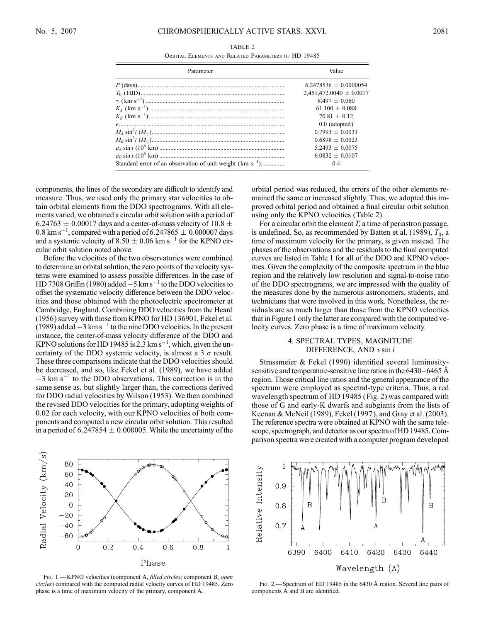Orbital Elements and Related Parameters of HD 19485

| Parameter                                                     | Value                       |  |
|---------------------------------------------------------------|-----------------------------|--|
|                                                               | $6.2478536 + 0.0000054$     |  |
|                                                               | $2,451,472,0040 \pm 0.0017$ |  |
|                                                               | $8.497 + 0.060$             |  |
|                                                               | $61.100 + 0.088$            |  |
|                                                               | $70.81 + 0.12$              |  |
|                                                               | $0.0$ (adopted)             |  |
|                                                               | $0.7993 + 0.0031$           |  |
|                                                               | $0.6898 + 0.0023$           |  |
|                                                               | $5.2493 + 0.0075$           |  |
|                                                               | $6.0832 + 0.0107$           |  |
| Standard error of an observation of unit weight $(km s^{-1})$ |                             |  |

components, the lines of the secondary are difficult to identify and measure. Thus, we used only the primary star velocities to obtain orbital elements from the DDO spectrograms. With all elements varied, we obtained a circular orbit solution with a period of 6.24763  $\pm$  0.00017 days and a center-of-mass velocity of 10.8  $\pm$ 0.8 km s<sup>-1</sup>, compared with a period of 6.247865  $\pm$  0.000007 days and a systemic velocity of  $8.50 \pm 0.06$  km s<sup>-1</sup> for the KPNO circular orbit solution noted above.

Before the velocities of the two observatories were combined to determine an orbital solution, the zero points of the velocity systems were examined to assess possible differences. In the case of HD 7308 Griffin (1980) added  $-5 \text{ km s}^{-1}$  to the DDO velocities to offset the systematic velocity difference between the DDO velocities and those obtained with the photoelectric spectrometer at Cambridge, England. Combining DDO velocities from the Heard (1956) survey with those from KPNO for HD 136901, Fekel et al.  $(1989)$  added  $-3 \text{ km s}^{-1}$  to the nine DDO velocities. In the present instance, the center-of-mass velocity difference of the DDO and KPNO solutions for HD 19485 is 2.3  $\mathrm{km \, s^{-1}}$ , which, given the uncertainty of the DDO systemic velocity, is almost a 3  $\sigma$  result. These three comparisons indicate that the DDO velocities should be decreased, and so, like Fekel et al. (1989), we have added  $-3$  km s<sup>-1</sup> to the DDO observations. This correction is in the same sense as, but slightly larger than, the corrections derived for DDO radial velocities by Wilson (1953). We then combined the revised DDO velocities for the primary, adopting weights of 0.02 for each velocity, with our KPNO velocities of both components and computed a new circular orbit solution. This resulted in a period of  $6.247854 \pm 0.000005$ . While the uncertainty of the

orbital period was reduced, the errors of the other elements remained the same or increased slightly. Thus, we adopted this improved orbital period and obtained a final circular orbit solution using only the KPNO velocities (Table 2).

For a circular orbit the element  $T$ , a time of periastron passage, is undefined. So, as recommended by Batten et al. (1989),  $T_0$ , a time of maximum velocity for the primary, is given instead. The phases of the observations and the residuals to the final computed curves are listed in Table 1 for all of the DDO and KPNO velocities. Given the complexity of the composite spectrum in the blue region and the relatively low resolution and signal-to-noise ratio of the DDO spectrograms, we are impressed with the quality of the measures done by the numerous astronomers, students, and technicians that were involved in this work. Nonetheless, the residuals are so much larger than those from the KPNO velocities that in Figure 1 only the latter are compared with the computed velocity curves. Zero phase is a time of maximum velocity.

#### 4. SPECTRAL TYPES, MAGNITUDE DIFFERENCE, AND  $v \sin i$

Strassmeier & Fekel (1990) identified several luminositysensitive and temperature-sensitive line ratios in the  $6430-6465$  Å region. Those critical line ratios and the general appearance of the spectrum were employed as spectral-type criteria. Thus, a red wavelength spectrum of HD 19485 (Fig. 2) was compared with those of G and early-K dwarfs and subgiants from the lists of Keenan & McNeil (1989), Fekel (1997 ), and Gray et al. (2003). The reference spectra were obtained at KPNO with the same telescope, spectrograph, and detector as our spectra of HD 19485. Comparison spectra were created with a computer program developed



FIG. 1.-KPNO velocities (component A, filled circles; component B, open circles) compared with the computed radial velocity curves of HD 19485. Zero phase is a time of maximum velocity of the primary, component A.



FIG. 2.—Spectrum of HD 19485 in the 6430 Å region. Several line pairs of components A and B are identified.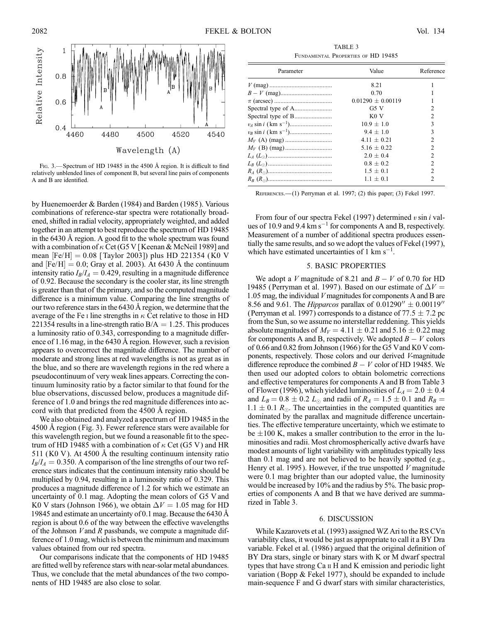

F<sub>IG</sub>. 3.—Spectrum of HD 19485 in the 4500 Å region. It is difficult to find relatively unblended lines of component B, but several line pairs of components A and B are identified.

by Huenemoerder & Barden (1984) and Barden (1985 ). Various combinations of reference-star spectra were rotationally broadened, shifted in radial velocity, appropriately weighted, and added together in an attempt to best reproduce the spectrum of HD 19485 in the 6430 Å region. A good fit to the whole spectrum was found with a combination of  $\kappa$  Cet (G5 V [Keenan & McNeil 1989] and mean  $[Fe/H] = 0.08$  [Taylor 2003]) plus HD 221354 (K0 V and  $[Fe/H] = 0.0$ ; Gray et al. 2003). At 6430 Å the continuum intensity ratio  $I_B/I_A = 0.429$ , resulting in a magnitude difference of 0.92. Because the secondary is the cooler star, its line strength is greater than that of the primary, and so the computed magnitude difference is a minimum value. Comparing the line strengths of our two reference stars in the 6430 Å region, we determine that the average of the Fe I line strengths in  $\kappa$  Cet relative to those in HD 221354 results in a line-strength ratio  $B/A = 1.25$ . This produces a luminosity ratio of 0.343, corresponding to a magnitude difference of 1.16 mag, in the 6430 Å region. However, such a revision appears to overcorrect the magnitude difference. The number of moderate and strong lines at red wavelengths is not as great as in the blue, and so there are wavelength regions in the red where a pseudocontinuum of very weak lines appears. Correcting the continuum luminosity ratio by a factor similar to that found for the blue observations, discussed below, produces a magnitude difference of 1.0 and brings the red magnitude differences into accord with that predicted from the 4500 Å region.

We also obtained and analyzed a spectrum of HD 19485 in the 4500 A region (Fig. 3). Fewer reference stars were available for this wavelength region, but we found a reasonable fit to the spectrum of HD 19485 with a combination of  $\kappa$  Cet (G5 V) and HR 511 (K0 V). At 4500 Å the resulting continuum intensity ratio  $I_B/I_A = 0.350$ . A comparison of the line strengths of our two reference stars indicates that the continuum intensity ratio should be multiplied by 0.94, resulting in a luminosity ratio of 0.329. This produces a magnitude difference of 1.2 for which we estimate an uncertainty of 0.1 mag. Adopting the mean colors of G5 V and K0 V stars (Johnson 1966), we obtain  $\Delta V = 1.05$  mag for HD 19845 and estimate an uncertainty of 0.1 mag. Because the 6430  $\AA$ region is about 0.6 of the way between the effective wavelengths of the Johnson  $V$  and  $R$  passbands, we compute a magnitude difference of 1.0 mag, which is between the minimum and maximum values obtained from our red spectra.

Our comparisons indicate that the components of HD 19485 are fitted well by reference stars with near-solar metal abundances. Thus, we conclude that the metal abundances of the two components of HD 19485 are also close to solar.

TABLE 3 Fundamental Properties of HD 19485

| Parameter | Value                 | Reference      |
|-----------|-----------------------|----------------|
|           | 8.21                  |                |
|           | 0.70                  |                |
|           | $0.01290 \pm 0.00119$ |                |
|           | G5V                   | $\overline{c}$ |
|           | KOV                   | $\overline{c}$ |
|           | $10.9 \pm 1.0$        | 3              |
|           | $9.4 \pm 1.0$         | 3              |
|           | $4.11 \pm 0.21$       | $\overline{c}$ |
|           | $5.16 + 0.22$         | $\overline{2}$ |
|           | $2.0 + 0.4$           | 2              |
|           | $0.8 + 0.2$           | $\mathfrak{D}$ |
|           | $1.5 \pm 0.1$         | $\overline{2}$ |
|           | $1.1 \pm 0.1$         | $\overline{c}$ |
|           |                       |                |

References.—(1) Perryman et al. 1997; (2) this paper; (3) Fekel 1997.

From four of our spectra Fekel (1997) determined  $v \sin i$  values of 10.9 and 9.4  $\rm km\,s^{-1}$  for components A and B, respectively. Measurement of a number of additional spectra produces essentially the same results, and so we adopt the values of Fekel (1997), which have estimated uncertainties of  $1 \text{ km s}^{-1}$ .

#### 5. BASIC PROPERTIES

We adopt a V magnitude of 8.21 and  $B - V$  of 0.70 for HD 19485 (Perryman et al. 1997). Based on our estimate of  $\Delta V =$ 1:05 mag, the individual V magnitudes for components A and B are 8.56 and 9.61. The *Hipparcos* parallax of  $0.01290'' \pm 0.00119''$ (Perryman et al. 1997) corresponds to a distance of 77.5  $\pm$  7.2 pc from the Sun, so we assume no interstellar reddening. This yields absolute magnitudes of  $M_V = 4.11 \pm 0.21$  and  $5.16 \pm 0.22$  mag for components A and B, respectively. We adopted  $B - V$  colors of 0.66 and 0.82 from Johnson (1966) for the G5 Vand K0 V components, respectively. Those colors and our derived V-magnitude difference reproduce the combined  $B - V$  color of HD 19485. We then used our adopted colors to obtain bolometric corrections and effective temperatures for components A and B from Table 3 of Flower (1996), which yielded luminosities of  $L_A = 2.0 \pm 0.4$ and  $L_B = 0.8 \pm 0.2 L_{\odot}$  and radii of  $R_A = 1.5 \pm 0.1$  and  $R_B =$  $1.1 \pm 0.1$   $R_{\odot}$ . The uncertainties in the computed quantities are dominated by the parallax and magnitude difference uncertainties. The effective temperature uncertainty, which we estimate to be  $\pm 100$  K, makes a smaller contribution to the error in the luminosities and radii. Most chromospherically active dwarfs have modest amounts of light variability with amplitudes typically less than 0.1 mag and are not believed to be heavily spotted (e.g., Henry et al. 1995). However, if the true unspotted  $V$  magnitude were 0.1 mag brighter than our adopted value, the luminosity would be increased by 10% and the radius by 5%. The basic properties of components A and B that we have derived are summarized in Table 3.

#### 6. DISCUSSION

While Kazarovets et al. (1993) assigned WZ Ari to the RS CVn variability class, it would be just as appropriate to call it a BY Dra variable. Fekel et al. (1986) argued that the original definition of BY Dra stars, single or binary stars with K or M dwarf spectral types that have strong Ca ii H and K emission and periodic light variation (Bopp & Fekel 1977), should be expanded to include main-sequence F and G dwarf stars with similar characteristics,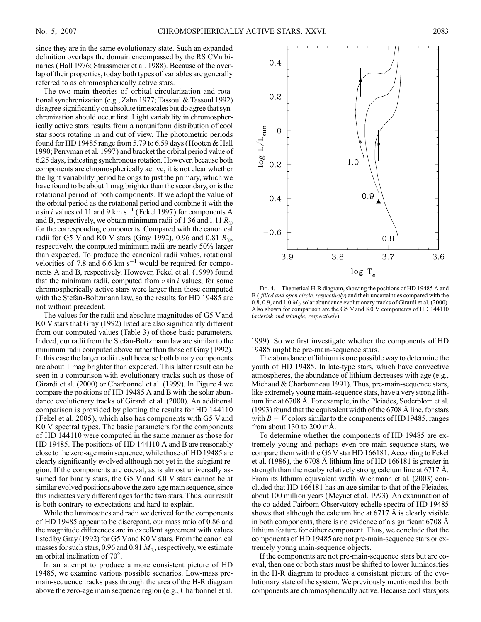since they are in the same evolutionary state. Such an expanded definition overlaps the domain encompassed by the RS CVn binaries (Hall 1976; Strassmeier et al. 1988). Because of the overlap of their properties, today both types of variables are generally referred to as chromospherically active stars.

The two main theories of orbital circularization and rotational synchronization (e.g., Zahn 1977; Tassoul & Tassoul 1992) disagree significantly on absolute timescales but do agree that synchronization should occur first. Light variability in chromospherically active stars results from a nonuniform distribution of cool star spots rotating in and out of view. The photometric periods found for HD 19485 range from 5.79 to 6.59 days (Hooten & Hall 1990; Perryman et al. 1997) and bracket the orbital period value of 6.25 days, indicating synchronous rotation. However, because both components are chromospherically active, it is not clear whether the light variability period belongs to just the primary, which we have found to be about 1 mag brighter than the secondary, or is the rotational period of both components. If we adopt the value of the orbital period as the rotational period and combine it with the v sin i values of 11 and 9 km s<sup>-1</sup> (Fekel 1997) for components A and B, respectively, we obtain minimum radii of 1.36 and 1.11  $R_{\odot}$ for the corresponding components. Compared with the canonical radii for G5 V and K0 V stars (Gray 1992), 0.96 and 0.81  $R_{\odot}$ , respectively, the computed minimum radii are nearly 50% larger than expected. To produce the canonical radii values, rotational velocities of 7.8 and 6.6  $km s^{-1}$  would be required for components A and B, respectively. However, Fekel et al. (1999) found that the minimum radii, computed from  $v \sin i$  values, for some chromospherically active stars were larger than those computed with the Stefan-Boltzmann law, so the results for HD 19485 are not without precedent.

The values for the radii and absolute magnitudes of G5 V and K0 V stars that Gray (1992) listed are also significantly different from our computed values (Table 3) of those basic parameters. Indeed, our radii from the Stefan-Boltzmann law are similar to the minimum radii computed above rather than those of Gray (1992). In this case the larger radii result because both binary components are about 1 mag brighter than expected. This latter result can be seen in a comparison with evolutionary tracks such as those of Girardi et al. (2000) or Charbonnel et al. (1999). In Figure 4 we compare the positions of HD 19485 A and B with the solar abundance evolutionary tracks of Girardi et al. (2000). An additional comparison is provided by plotting the results for HD 144110 (Fekel et al. 2005 ), which also has components with G5 V and K0 V spectral types. The basic parameters for the components of HD 144110 were computed in the same manner as those for HD 19485. The positions of HD 144110 A and B are reasonably close to the zero-age main sequence, while those of HD 19485 are clearly significantly evolved although not yet in the subgiant region. If the components are coeval, as is almost universally assumed for binary stars, the G5 V and K0 V stars cannot be at similar evolved positions above the zero-age main sequence, since this indicates very different ages for the two stars. Thus, our result is both contrary to expectations and hard to explain.

While the luminosities and radii we derived for the components of HD 19485 appear to be discrepant, our mass ratio of 0.86 and the magnitude differences are in excellent agreement with values listed by Gray (1992) for G5 Vand K0 V stars. From the canonical masses for such stars, 0.96 and 0.81  $M_{\odot}$ , respectively, we estimate an orbital inclination of 70 .

In an attempt to produce a more consistent picture of HD 19485, we examine various possible scenarios. Low-mass premain-sequence tracks pass through the area of the H-R diagram above the zero-age main sequence region (e.g., Charbonnel et al.



Fig. 4.—Theoretical H-R diagram, showing the positions of HD 19485 A and B ( filled and open circle, respectively) and their uncertainties compared with the 0.8, 0.9, and 1.0  $M_{\odot}$  solar abundance evolutionary tracks of Girardi et al. (2000). Also shown for comparison are the G5 V and K0 V components of HD 144110 (asterisk and triangle, respectively).

1999). So we first investigate whether the components of HD 19485 might be pre-main-sequence stars.

The abundance of lithium is one possible way to determine the youth of HD 19485. In late-type stars, which have convective atmospheres, the abundance of lithium decreases with age (e.g., Michaud & Charbonneau 1991). Thus, pre-main-sequence stars, like extremely young main-sequence stars, have a very strong lithium line at 6708 Å. For example, in the Pleiades, Soderblom et al.  $(1993)$  found that the equivalent width of the 6708 Å line, for stars with  $B - V$  colors similar to the components of HD19485, ranges from about 130 to 200  $m\AA$ .

To determine whether the components of HD 19485 are extremely young and perhaps even pre-main-sequence stars, we compare them with the G6 V star HD 166181. According to Fekel et al.  $(1986)$ , the 6708 Å lithium line of HD 166181 is greater in strength than the nearby relatively strong calcium line at  $6717 \text{ Å}$ . From its lithium equivalent width Wichmann et al. (2003) concluded that HD 166181 has an age similar to that of the Pleiades, about 100 million years (Meynet et al. 1993). An examination of the co-added Fairborn Observatory echelle spectra of HD 19485 shows that although the calcium line at  $6717 \text{ Å}$  is clearly visible in both components, there is no evidence of a significant 6708 Å lithium feature for either component. Thus, we conclude that the components of HD 19485 are not pre-main-sequence stars or extremely young main-sequence objects.

If the components are not pre-main-sequence stars but are coeval, then one or both stars must be shifted to lower luminosities in the H-R diagram to produce a consistent picture of the evolutionary state of the system. We previously mentioned that both components are chromospherically active. Because cool starspots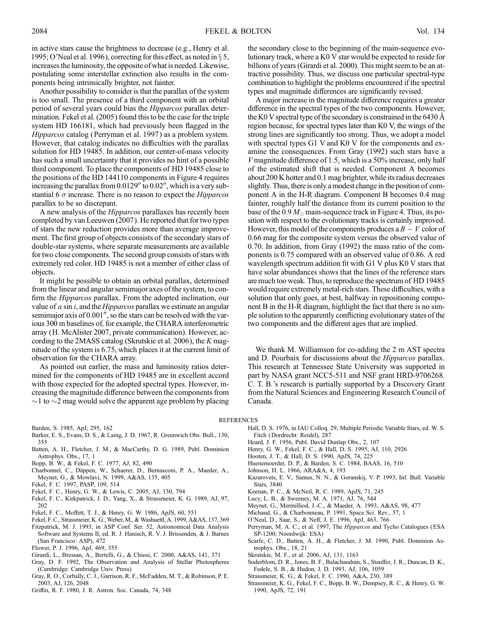in active stars cause the brightness to decrease (e.g., Henry et al. 1995; O'Neal et al. 1996), correcting for this effect, as noted in  $\S 5$ , increases the luminosity, the opposite of what is needed. Likewise, postulating some interstellar extinction also results in the components being intrinsically brighter, not fainter.

Another possibility to consider is that the parallax of the system is too small. The presence of a third component with an orbital period of several years could bias the Hipparcos parallax determination. Fekel et al. (2005) found this to be the case for the triple system HD 166181, which had previously been flagged in the Hipparcos catalog (Perryman et al. 1997) as a problem system. However, that catalog indicates no difficulties with the parallax solution for HD 19485. In addition, our center-of-mass velocity has such a small uncertainty that it provides no hint of a possible third component. To place the components of HD 19485 close to the positions of the HD 144110 components in Figure 4 requires increasing the parallax from  $0.0129''$  to  $0.02''$ , which is a very substantial 6  $\sigma$  increase. There is no reason to expect the *Hipparcos* parallax to be so discrepant.

A new analysis of the Hipparcos parallaxes has recently been completed by van Leeuwen (2007). He reported that for two types of stars the new reduction provides more than average improvement. The first group of objects consists of the secondary stars of double-star systems, where separate measurements are available for two close components. The second group consists of stars with extremely red color. HD 19485 is not a member of either class of objects.

It might be possible to obtain an orbital parallax, determined from the linear and angular semimajor axes of the system, to confirm the *Hipparcos* parallax. From the adopted inclination, our value of  $a \sin i$ , and the *Hipparcos* parallax we estimate an angular semimajor axis of  $0.001''$ , so the stars can be resolved with the various 300 m baselines of, for example, the CHARA interferometric array (H. McAlister 2007, private communication). However, according to the 2MASS catalog (Skrutskie et al. 2006), the K magnitude of the system is 6.75, which places it at the current limit of observation for the CHARA array.

As pointed out earlier, the mass and luminosity ratios determined for the components of HD 19485 are in excellent accord with those expected for the adopted spectral types. However, increasing the magnitude difference between the components from  $\sim$ 1 to  $\sim$ 2 mag would solve the apparent age problem by placing the secondary close to the beginning of the main-sequence evolutionary track, where a K0 V star would be expected to reside for billions of years (Girardi et al. 2000). This might seem to be an attractive possibility. Thus, we discuss one particular spectral-type combination to highlight the problems encountered if the spectral types and magnitude differences are significantly revised.

A major increase in the magnitude difference requires a greater difference in the spectral types of the two components. However, the K0 V spectral type of the secondary is constrained in the 6430  $\AA$ region because, for spectral types later than K0 V, the wings of the strong lines are significantly too strong. Thus, we adopt a model with spectral types G1 V and K0 V for the components and examine the consequences. From Gray (1992) such stars have a  $V$  magnitude difference of 1.5, which is a 50% increase, only half of the estimated shift that is needed. Component A becomes about 200 K hotter and 0.1 mag brighter, while its radius decreases slightly. Thus, there is only a modest change in the position of component A in the H-R diagram. Component B becomes 0.4 mag fainter, roughly half the distance from its current position to the base of the 0.9  $M_{\odot}$  main-sequence track in Figure 4. Thus, its position with respect to the evolutionary tracks is certainly improved. However, this model of the components produces a  $B-V$  color of 0.66 mag for the composite system versus the observed value of 0.70. In addition, from Gray (1992) the mass ratio of the components is 0.75 compared with an observed value of 0.86. A red wavelength spectrum addition fit with G1 V plus K0 V stars that have solar abundances shows that the lines of the reference stars are much too weak. Thus, to reproduce the spectrum of HD 19485 would require extremely metal-rich stars. These difficulties, with a solution that only goes, at best, halfway in repositioning component B in the H-R diagram, highlight the fact that there is no simple solution to the apparently conflicting evolutionary states of the two components and the different ages that are implied.

We thank M. Williamson for co-adding the 2 m AST spectra and D. Pourbaix for discussions about the Hipparcos parallax. This research at Tennessee State University was supported in part by NASA grant NCC5-511 and NSF grant HRD-9706268. C. T. B.'s research is partially supported by a Discovery Grant from the Natural Sciences and Engineering Research Council of Canada.

#### **REFERENCES**

Barden, S. 1985, ApJ, 295, 162

- Barker, E. S., Evans, D. S., & Laing, J. D. 1967, R. Greenwich Obs. Bull., 130, 355
- Batten, A. H., Fletcher, J. M., & MacCarthy, D. G. 1989, Publ. Dominion Astrophys. Obs., 17, 1
- Bopp, B. W., & Fekel, F. C. 1977, AJ, 82, 490
- Charbonnel, C., Däppen, W., Schaerer, D., Bernasconi, P. A., Maeder, A., Meynet, G., & Mowlavi, N. 1999, A&AS, 135, 405
- Fekel, F. C. 1997, PASP, 109, 514
- Fekel, F. C., Henry, G. W., & Lewis, C. 2005, AJ, 130, 794
- Fekel, F. C., Kirkpatrick, J. D., Yang, X., & Strassmeier, K. G. 1989, AJ, 97, 202
- Fekel, F. C., Moffett, T. J., & Henry, G. W. 1986, ApJS, 60, 551
- Fekel, F. C., Strassmeier, K. G.,Weber, M., & Washuettl, A. 1999, A&AS, 137, 369
- Fitzpatrick, M. J. 1993, in ASP Conf. Ser. 52, Astronomical Data Analysis Software and Systems II, ed. R. J. Hanisch, R. V. J. Brissenden, & J. Barnes (San Francisco: ASP), 472
- Flower, P. J. 1996, ApJ, 469, 355
- Girardi, L., Bressan, A., Bertelli, G., & Chiosi, C. 2000, A&AS, 141, 371
- Gray, D. F. 1992, The Observation and Analysis of Stellar Photospheres (Cambridge: Cambridge Univ. Press)
- Gray, R. O., Corbally, C. J., Garrison, R. F., McFadden, M. T., & Robinson, P. E. 2003, AJ, 126, 2048
- Griffin, R. F. 1980, J. R. Astron. Soc. Canada, 74, 348
- Hall, D. S. 1976, in IAU Colloq. 29, Multiple Periodic Variable Stars, ed. W. S. Fitch ( Dordrecht: Reidel), 287
- Heard, J. F. 1956, Publ. David Dunlap Obs., 2, 107
- Henry, G. W., Fekel, F. C., & Hall, D. S. 1995, AJ, 110, 2926
- Hooten, J. T., & Hall, D. S. 1990, ApJS, 74, 225
- Huenemoerder, D. P., & Barden, S. C. 1984, BAAS, 16, 510
- Johnson, H. L. 1966, ARA&A, 4, 193
- Kazarovets, E. V., Samus, N. N., & Goranskij, V. P. 1993, Inf. Bull. Variable Stars, 3840
- Keenan, P. C., & McNeil, R. C. 1989, ApJS, 71, 245
- Lucy, L. B., & Sweeney, M. A. 1971, AJ, 76, 544
- Meynet, G., Mermilliod, J.-C., & Maeder, A. 1993, A&AS, 98, 477
- Michaud, G., & Charbonneau, P. 1991, Space Sci. Rev., 57, 1
- O'Neal, D., Saar, S., & Neff, J. E. 1996, ApJ, 463, 766
- Perryman, M. A. C., et al. 1997, The Hipparcos and Tycho Catalogues (ESA SP-1200; Noordwijk: ESA)
- Scarfe, C. D., Batten, A. H., & Fletcher, J. M. 1990, Publ. Dominion Astrophys. Obs., 18, 21
- Skrutskie, M. F., et al. 2006, AJ, 131, 1163
- 
- Soderblom, D. R., Jones, B. F., Balachandran, S., Stauffer, J. R., Duncan, D. K., Fedele, S. B., & Hudon, J. D. 1993, AJ, 106, 1059
- Strassmeier, K. G., & Fekel, F. C. 1990, A&A, 230, 389
- Strassmeier, K. G., Fekel, F. C., Bopp, B. W., Dempsey, R. C., & Henry, G. W. 1990, ApJS, 72, 191